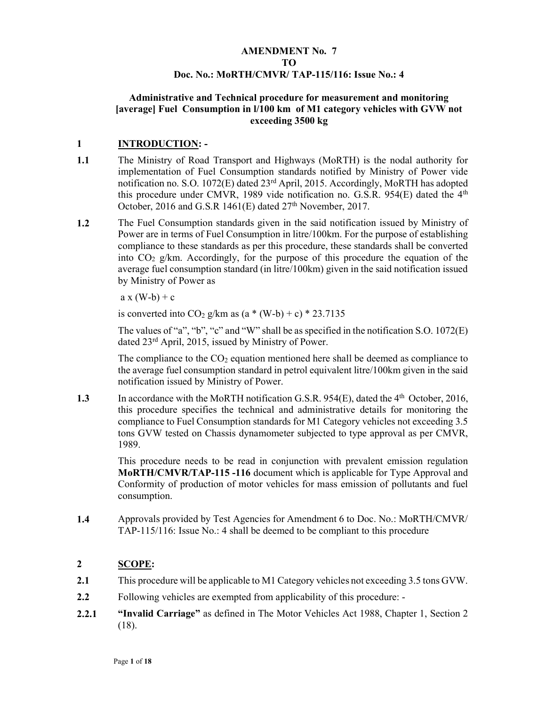## AMENDMENT No. 7 TO Doc. No.: MoRTH/CMVR/ TAP-115/116: Issue No.: 4

#### Administrative and Technical procedure for measurement and monitoring [average] Fuel Consumption in l/100 km of M1 category vehicles with GVW not exceeding 3500 kg

## 1 INTRODUCTION: -

- 1.1 The Ministry of Road Transport and Highways (MoRTH) is the nodal authority for implementation of Fuel Consumption standards notified by Ministry of Power vide notification no. S.O. 1072(E) dated 23rd April, 2015. Accordingly, MoRTH has adopted this procedure under CMVR, 1989 vide notification no. G.S.R. 954(E) dated the 4th October, 2016 and G.S.R 1461(E) dated  $27<sup>th</sup>$  November, 2017.
- 1.2 The Fuel Consumption standards given in the said notification issued by Ministry of Power are in terms of Fuel Consumption in litre/100km. For the purpose of establishing compliance to these standards as per this procedure, these standards shall be converted into  $CO<sub>2</sub> g/km$ . Accordingly, for the purpose of this procedure the equation of the average fuel consumption standard (in litre/100km) given in the said notification issued by Ministry of Power as

 $a x (W-b) + c$ 

is converted into  $CO<sub>2</sub> g/km$  as  $(a * (W-b) + c) * 23.7135$ 

The values of "a", "b", "c" and "W" shall be as specified in the notification S.O. 1072(E) dated 23rd April, 2015, issued by Ministry of Power.

The compliance to the  $CO<sub>2</sub>$  equation mentioned here shall be deemed as compliance to the average fuel consumption standard in petrol equivalent litre/100km given in the said notification issued by Ministry of Power.

1.3 In accordance with the MoRTH notification G.S.R. 954(E), dated the 4<sup>th</sup> October, 2016, this procedure specifies the technical and administrative details for monitoring the compliance to Fuel Consumption standards for M1 Category vehicles not exceeding 3.5 tons GVW tested on Chassis dynamometer subjected to type approval as per CMVR, 1989.

> This procedure needs to be read in conjunction with prevalent emission regulation MoRTH/CMVR/TAP-115 -116 document which is applicable for Type Approval and Conformity of production of motor vehicles for mass emission of pollutants and fuel consumption.

1.4 Approvals provided by Test Agencies for Amendment 6 to Doc. No.: MoRTH/CMVR/ TAP-115/116: Issue No.: 4 shall be deemed to be compliant to this procedure

## 2 SCOPE:

- 2.1 This procedure will be applicable to M1 Category vehicles not exceeding 3.5 tons GVW.
- 2.2 Following vehicles are exempted from applicability of this procedure: -
- 2.2.1 "Invalid Carriage" as defined in The Motor Vehicles Act 1988, Chapter 1, Section 2 (18).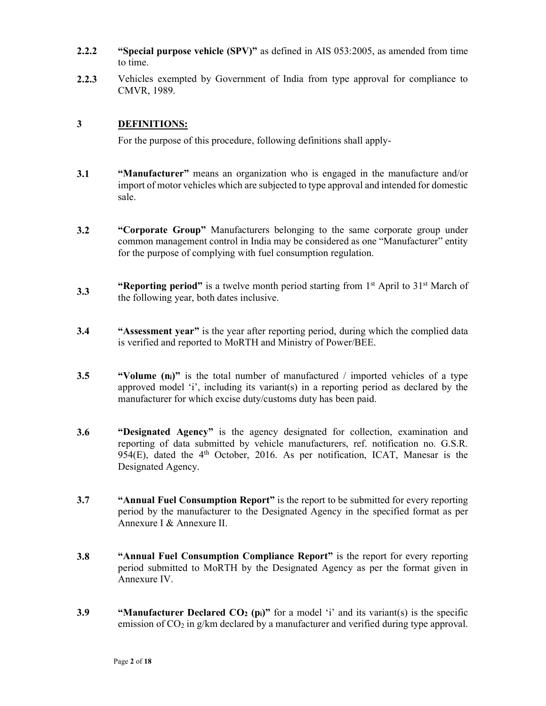- 2.2.2 "Special purpose vehicle (SPV)" as defined in AIS 053:2005, as amended from time to time.
- 2.2.3 Vehicles exempted by Government of India from type approval for compliance to CMVR, 1989.

## 3 DEFINITIONS:

For the purpose of this procedure, following definitions shall apply-

- 3.1 "Manufacturer" means an organization who is engaged in the manufacture and/or import of motor vehicles which are subjected to type approval and intended for domestic sale.
- 3.2 "Corporate Group" Manufacturers belonging to the same corporate group under common management control in India may be considered as one "Manufacturer" entity for the purpose of complying with fuel consumption regulation.
- 3.3 "Reporting period" is a twelve month period starting from  $1<sup>st</sup>$  April to  $31<sup>st</sup>$  March of the following year, both dates inclusive.
- 3.4 "Assessment year" is the year after reporting period, during which the complied data is verified and reported to MoRTH and Ministry of Power/BEE.
- 3.5 "Volume  $(n_i)$ " is the total number of manufactured / imported vehicles of a type approved model 'i', including its variant(s) in a reporting period as declared by the manufacturer for which excise duty/customs duty has been paid.
- 3.6 "Designated Agency" is the agency designated for collection, examination and reporting of data submitted by vehicle manufacturers, ref. notification no. G.S.R. 954(E), dated the  $4<sup>th</sup>$  October, 2016. As per notification, ICAT, Manesar is the Designated Agency.
- 3.7 "Annual Fuel Consumption Report" is the report to be submitted for every reporting period by the manufacturer to the Designated Agency in the specified format as per Annexure I & Annexure II.
- 3.8 "Annual Fuel Consumption Compliance Report" is the report for every reporting period submitted to MoRTH by the Designated Agency as per the format given in Annexure IV.
- 3.9 "Manufacturer Declared  $CO_2$  (pi)" for a model 'i' and its variant(s) is the specific emission of  $CO<sub>2</sub>$  in g/km declared by a manufacturer and verified during type approval.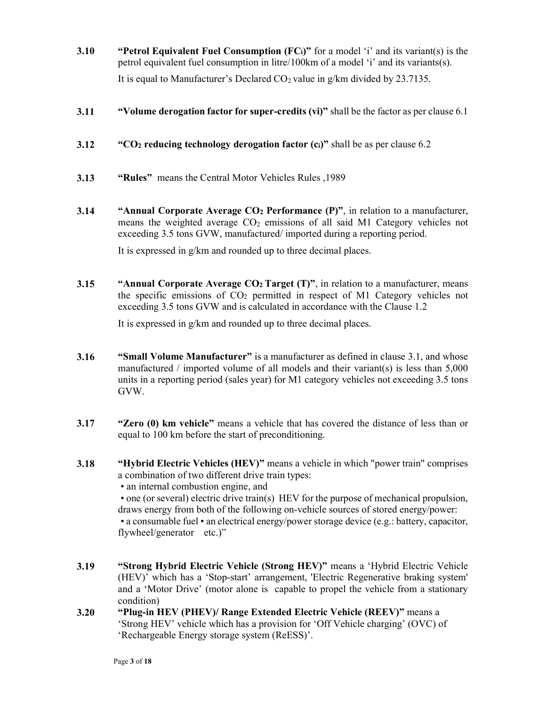- 3.10 "Petrol Equivalent Fuel Consumption  $(FC_i)$ " for a model 'i' and its variant(s) is the petrol equivalent fuel consumption in litre/100km of a model 'i' and its variants(s). It is equal to Manufacturer's Declared  $CO<sub>2</sub>$  value in g/km divided by 23.7135.
- 3.11 "Volume derogation factor for super-credits (vi)" shall be the factor as per clause 6.1
- 3.12 "CO<sub>2</sub> reducing technology derogation factor  $(c_i)$ " shall be as per clause 6.2
- 3.13 "Rules" means the Central Motor Vehicles Rules ,1989
- 3.14 "Annual Corporate Average  $CO<sub>2</sub>$  Performance (P)", in relation to a manufacturer, means the weighted average  $CO<sub>2</sub>$  emissions of all said M1 Category vehicles not exceeding 3.5 tons GVW, manufactured/ imported during a reporting period.

It is expressed in g/km and rounded up to three decimal places.

3.15 "Annual Corporate Average  $CO<sub>2</sub>$  Target (T)", in relation to a manufacturer, means the specific emissions of CO2 permitted in respect of M1 Category vehicles not exceeding 3.5 tons GVW and is calculated in accordance with the Clause 1.2

It is expressed in g/km and rounded up to three decimal places.

- 3.16 "Small Volume Manufacturer" is a manufacturer as defined in clause 3.1, and whose manufactured / imported volume of all models and their variant(s) is less than 5,000 units in a reporting period (sales year) for M1 category vehicles not exceeding 3.5 tons GVW.
- 3.17 "Zero (0) km vehicle" means a vehicle that has covered the distance of less than or equal to 100 km before the start of preconditioning.
- 3.18 "Hybrid Electric Vehicles (HEV)" means a vehicle in which "power train" comprises a combination of two different drive train types:

• an internal combustion engine, and

 • one (or several) electric drive train(s) HEV for the purpose of mechanical propulsion, draws energy from both of the following on-vehicle sources of stored energy/power: • a consumable fuel • an electrical energy/power storage device (e.g.: battery, capacitor, flywheel/generator etc.)"

- 3.19 "Strong Hybrid Electric Vehicle (Strong HEV)" means a 'Hybrid Electric Vehicle (HEV)' which has a 'Stop-start' arrangement, 'Electric Regenerative braking system' and a 'Motor Drive' (motor alone is capable to propel the vehicle from a stationary condition)
- 3.20 "Plug-in HEV (PHEV)/ Range Extended Electric Vehicle (REEV)" means a 'Strong HEV' vehicle which has a provision for 'Off Vehicle charging' (OVC) of 'Rechargeable Energy storage system (ReESS)'.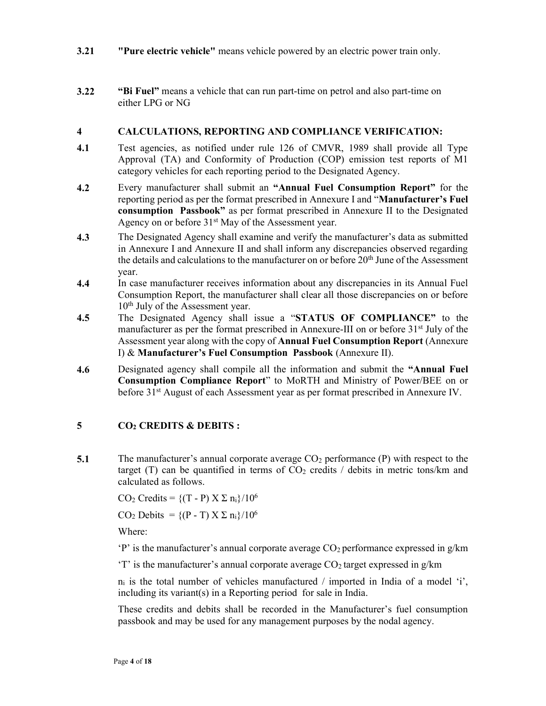- 3.21 "Pure electric vehicle" means vehicle powered by an electric power train only.
- 3.22 "Bi Fuel" means a vehicle that can run part-time on petrol and also part-time on either LPG or NG

#### 4 CALCULATIONS, REPORTING AND COMPLIANCE VERIFICATION:

- 4.1 Test agencies, as notified under rule 126 of CMVR, 1989 shall provide all Type Approval (TA) and Conformity of Production (COP) emission test reports of M1 category vehicles for each reporting period to the Designated Agency.
- 4.2 Every manufacturer shall submit an "Annual Fuel Consumption Report" for the reporting period as per the format prescribed in Annexure I and "**Manufacturer's Fuel** consumption Passbook" as per format prescribed in Annexure II to the Designated Agency on or before  $31<sup>st</sup>$  May of the Assessment year.
- 4.3 The Designated Agency shall examine and verify the manufacturer's data as submitted in Annexure I and Annexure II and shall inform any discrepancies observed regarding the details and calculations to the manufacturer on or before 20<sup>th</sup> June of the Assessment year.
- 4.4 In case manufacturer receives information about any discrepancies in its Annual Fuel Consumption Report, the manufacturer shall clear all those discrepancies on or before 10<sup>th</sup> July of the Assessment year.
- 4.5 The Designated Agency shall issue a "STATUS OF COMPLIANCE" to the manufacturer as per the format prescribed in Annexure-III on or before 31<sup>st</sup> July of the Assessment year along with the copy of Annual Fuel Consumption Report (Annexure I) & Manufacturer's Fuel Consumption Passbook (Annexure II).
- 4.6 Designated agency shall compile all the information and submit the "Annual Fuel Consumption Compliance Report" to MoRTH and Ministry of Power/BEE on or before 31<sup>st</sup> August of each Assessment year as per format prescribed in Annexure IV.

## $5 \qquad \qquad CO_2 \text{ CREDITS} \& \text{ DEBITS :}$

5.1 The manufacturer's annual corporate average  $CO<sub>2</sub>$  performance (P) with respect to the target (T) can be quantified in terms of  $CO<sub>2</sub>$  credits / debits in metric tons/km and calculated as follows.

CO<sub>2</sub> Credits =  $\{(T - P) \times \Sigma n_i\}/10^6$ 

CO<sub>2</sub> Debits =  ${(P - T) X \Sigma n_i}/10^6$ 

Where:

 $\mathbf{P}'$  is the manufacturer's annual corporate average  $\mathbf{C}\mathbf{O}_2$  performance expressed in g/km

'T' is the manufacturer's annual corporate average  $CO<sub>2</sub>$  target expressed in g/km

 $n_i$  is the total number of vehicles manufactured / imported in India of a model 'i', including its variant(s) in a Reporting period for sale in India.

These credits and debits shall be recorded in the Manufacturer's fuel consumption passbook and may be used for any management purposes by the nodal agency.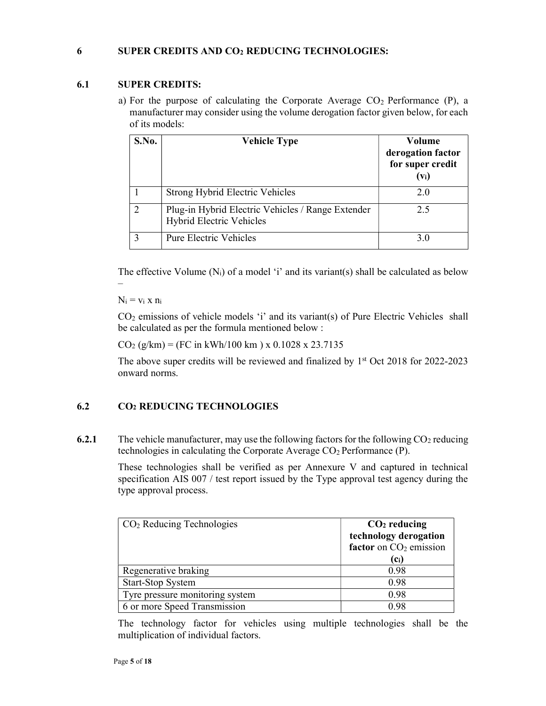## 6 SUPER CREDITS AND CO2 REDUCING TECHNOLOGIES:

## 6.1 SUPER CREDITS:

a) For the purpose of calculating the Corporate Average  $CO<sub>2</sub>$  Performance (P), a manufacturer may consider using the volume derogation factor given below, for each of its models:

| S.No.          | <b>Vehicle Type</b>                                                                  | Volume<br>derogation factor<br>for super credit<br>$(v_i)$ |
|----------------|--------------------------------------------------------------------------------------|------------------------------------------------------------|
|                | <b>Strong Hybrid Electric Vehicles</b>                                               | 2.0                                                        |
| $\overline{2}$ | Plug-in Hybrid Electric Vehicles / Range Extender<br><b>Hybrid Electric Vehicles</b> | 2.5                                                        |
| 3              | Pure Electric Vehicles                                                               | 3.0                                                        |

The effective Volume  $(N_i)$  of a model 'i' and its variant(s) shall be calculated as below

 $N_i = v_i x n_i$ 

CO<sup>2</sup> emissions of vehicle models 'i' and its variant(s) of Pure Electric Vehicles shall be calculated as per the formula mentioned below :

 $CO<sub>2</sub> (g/km) = (FC in kWh/100 km) x 0.1028 x 23.7135$ 

The above super credits will be reviewed and finalized by  $1<sup>st</sup>$  Oct 2018 for 2022-2023 onward norms.

## 6.2 CO2 REDUCING TECHNOLOGIES

6.2.1 The vehicle manufacturer, may use the following factors for the following  $CO<sub>2</sub>$  reducing technologies in calculating the Corporate Average  $CO<sub>2</sub>$  Performance (P).

> These technologies shall be verified as per Annexure V and captured in technical specification AIS 007 / test report issued by the Type approval test agency during the type approval process.

| $CO2$ Reducing Technologies     | $CO2$ reducing<br>technology derogation<br>factor on $CO2$ emission |
|---------------------------------|---------------------------------------------------------------------|
|                                 | (Ci)                                                                |
| Regenerative braking            | 0.98                                                                |
| <b>Start-Stop System</b>        | 0.98                                                                |
| Tyre pressure monitoring system | 0.98                                                                |
| 6 or more Speed Transmission    | 0.98                                                                |

The technology factor for vehicles using multiple technologies shall be the multiplication of individual factors.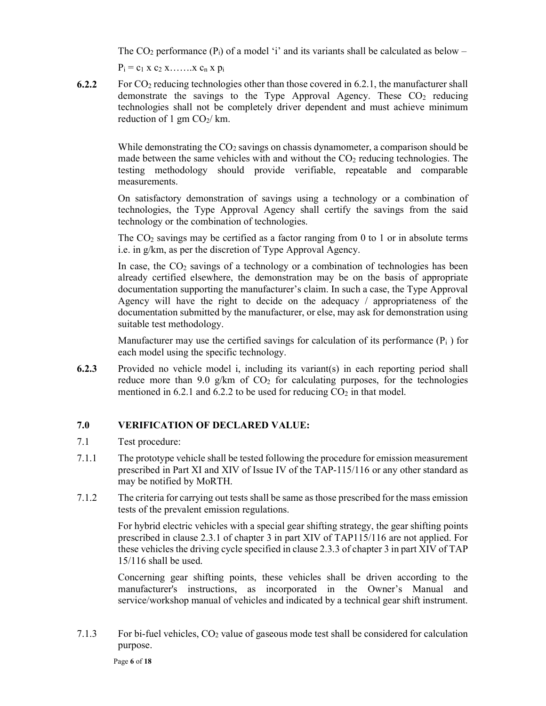The CO<sub>2</sub> performance (P<sub>i</sub>) of a model 'i' and its variants shall be calculated as below –

 $P_i = c_1 x c_2 x \dots x c_n x p_i$ 

6.2.2 For  $CO<sub>2</sub>$  reducing technologies other than those covered in 6.2.1, the manufacturer shall demonstrate the savings to the Type Approval Agency. These  $CO<sub>2</sub>$  reducing technologies shall not be completely driver dependent and must achieve minimum reduction of 1 gm  $CO<sub>2</sub>/$  km.

> While demonstrating the  $CO<sub>2</sub>$  savings on chassis dynamometer, a comparison should be made between the same vehicles with and without the  $CO<sub>2</sub>$  reducing technologies. The testing methodology should provide verifiable, repeatable and comparable measurements.

> On satisfactory demonstration of savings using a technology or a combination of technologies, the Type Approval Agency shall certify the savings from the said technology or the combination of technologies.

> The  $CO<sub>2</sub>$  savings may be certified as a factor ranging from 0 to 1 or in absolute terms i.e. in g/km, as per the discretion of Type Approval Agency.

> In case, the  $CO<sub>2</sub>$  savings of a technology or a combination of technologies has been already certified elsewhere, the demonstration may be on the basis of appropriate documentation supporting the manufacturer's claim. In such a case, the Type Approval Agency will have the right to decide on the adequacy / appropriateness of the documentation submitted by the manufacturer, or else, may ask for demonstration using suitable test methodology.

> Manufacturer may use the certified savings for calculation of its performance  $(P_i)$  for each model using the specific technology.

6.2.3 Provided no vehicle model i, including its variant(s) in each reporting period shall reduce more than 9.0 g/km of  $CO<sub>2</sub>$  for calculating purposes, for the technologies mentioned in 6.2.1 and 6.2.2 to be used for reducing  $CO<sub>2</sub>$  in that model.

## 7.0 VERIFICATION OF DECLARED VALUE:

- 7.1 Test procedure:
- 7.1.1 The prototype vehicle shall be tested following the procedure for emission measurement prescribed in Part XI and XIV of Issue IV of the TAP-115/116 or any other standard as may be notified by MoRTH.
- 7.1.2 The criteria for carrying out tests shall be same as those prescribed for the mass emission tests of the prevalent emission regulations.

For hybrid electric vehicles with a special gear shifting strategy, the gear shifting points prescribed in clause 2.3.1 of chapter 3 in part XIV of TAP115/116 are not applied. For these vehicles the driving cycle specified in clause 2.3.3 of chapter 3 in part XIV of TAP 15/116 shall be used.

Concerning gear shifting points, these vehicles shall be driven according to the manufacturer's instructions, as incorporated in the Owner's Manual and service/workshop manual of vehicles and indicated by a technical gear shift instrument.

7.1.3 For bi-fuel vehicles,  $CO<sub>2</sub>$  value of gaseous mode test shall be considered for calculation purpose.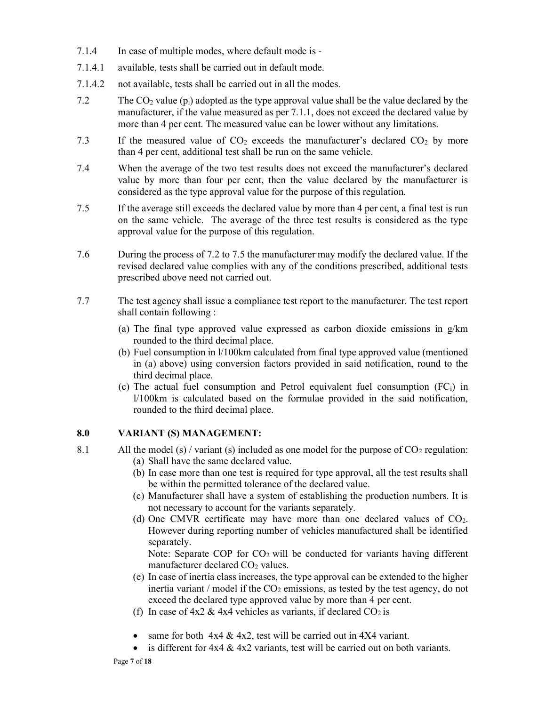- 7.1.4 In case of multiple modes, where default mode is -
- 7.1.4.1 available, tests shall be carried out in default mode.
- 7.1.4.2 not available, tests shall be carried out in all the modes.
- 7.2 The  $CO_2$  value ( $p_i$ ) adopted as the type approval value shall be the value declared by the manufacturer, if the value measured as per 7.1.1, does not exceed the declared value by more than 4 per cent. The measured value can be lower without any limitations.
- 7.3 If the measured value of  $CO<sub>2</sub>$  exceeds the manufacturer's declared  $CO<sub>2</sub>$  by more than 4 per cent, additional test shall be run on the same vehicle.
- 7.4 When the average of the two test results does not exceed the manufacturer's declared value by more than four per cent, then the value declared by the manufacturer is considered as the type approval value for the purpose of this regulation.
- 7.5 If the average still exceeds the declared value by more than 4 per cent, a final test is run on the same vehicle. The average of the three test results is considered as the type approval value for the purpose of this regulation.
- 7.6 During the process of 7.2 to 7.5 the manufacturer may modify the declared value. If the revised declared value complies with any of the conditions prescribed, additional tests prescribed above need not carried out.
- 7.7 The test agency shall issue a compliance test report to the manufacturer. The test report shall contain following :
	- (a) The final type approved value expressed as carbon dioxide emissions in  $g/km$ rounded to the third decimal place.
	- (b) Fuel consumption in l/100km calculated from final type approved value (mentioned in (a) above) using conversion factors provided in said notification, round to the third decimal place.
	- (c) The actual fuel consumption and Petrol equivalent fuel consumption  $(FC_i)$  in l/100km is calculated based on the formulae provided in the said notification, rounded to the third decimal place.

## 8.0 VARIANT (S) MANAGEMENT:

- 8.1 All the model (s) / variant (s) included as one model for the purpose of  $CO<sub>2</sub>$  regulation: (a) Shall have the same declared value.
	- (b) In case more than one test is required for type approval, all the test results shall be within the permitted tolerance of the declared value.
	- (c) Manufacturer shall have a system of establishing the production numbers. It is not necessary to account for the variants separately.
	- (d) One CMVR certificate may have more than one declared values of  $CO<sub>2</sub>$ . However during reporting number of vehicles manufactured shall be identified separately.

Note: Separate COP for CO<sub>2</sub> will be conducted for variants having different manufacturer declared CO<sub>2</sub> values.

- (e) In case of inertia class increases, the type approval can be extended to the higher inertia variant / model if the  $CO<sub>2</sub>$  emissions, as tested by the test agency, do not exceed the declared type approved value by more than 4 per cent.
- (f) In case of  $4x2 \& 4x4$  vehicles as variants, if declared  $CO<sub>2</sub>$  is
- same for both  $4x4 \& 4x2$ , test will be carried out in  $4X4$  variant.
- is different for  $4x4 \& 4x2$  variants, test will be carried out on both variants.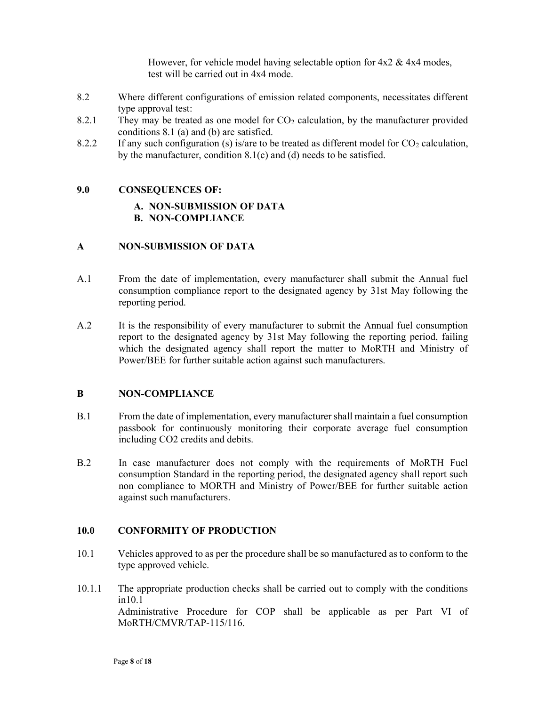However, for vehicle model having selectable option for  $4x2 \& 4x4$  modes, test will be carried out in 4x4 mode.

- 8.2 Where different configurations of emission related components, necessitates different type approval test:
- 8.2.1 They may be treated as one model for  $CO<sub>2</sub>$  calculation, by the manufacturer provided conditions 8.1 (a) and (b) are satisfied.
- 8.2.2 If any such configuration (s) is/are to be treated as different model for  $CO<sub>2</sub>$  calculation, by the manufacturer, condition 8.1(c) and (d) needs to be satisfied.

#### 9.0 CONSEQUENCES OF:

#### A. NON-SUBMISSION OF DATA B. NON-COMPLIANCE

## A NON-SUBMISSION OF DATA

- A.1 From the date of implementation, every manufacturer shall submit the Annual fuel consumption compliance report to the designated agency by 31st May following the reporting period.
- A.2 It is the responsibility of every manufacturer to submit the Annual fuel consumption report to the designated agency by 31st May following the reporting period, failing which the designated agency shall report the matter to MoRTH and Ministry of Power/BEE for further suitable action against such manufacturers.

#### B NON-COMPLIANCE

- B.1 From the date of implementation, every manufacturer shall maintain a fuel consumption passbook for continuously monitoring their corporate average fuel consumption including CO2 credits and debits.
- B.2 In case manufacturer does not comply with the requirements of MoRTH Fuel consumption Standard in the reporting period, the designated agency shall report such non compliance to MORTH and Ministry of Power/BEE for further suitable action against such manufacturers.

#### 10.0 CONFORMITY OF PRODUCTION

- 10.1 Vehicles approved to as per the procedure shall be so manufactured as to conform to the type approved vehicle.
- 10.1.1 The appropriate production checks shall be carried out to comply with the conditions in10.1 Administrative Procedure for COP shall be applicable as per Part VI of MoRTH/CMVR/TAP-115/116.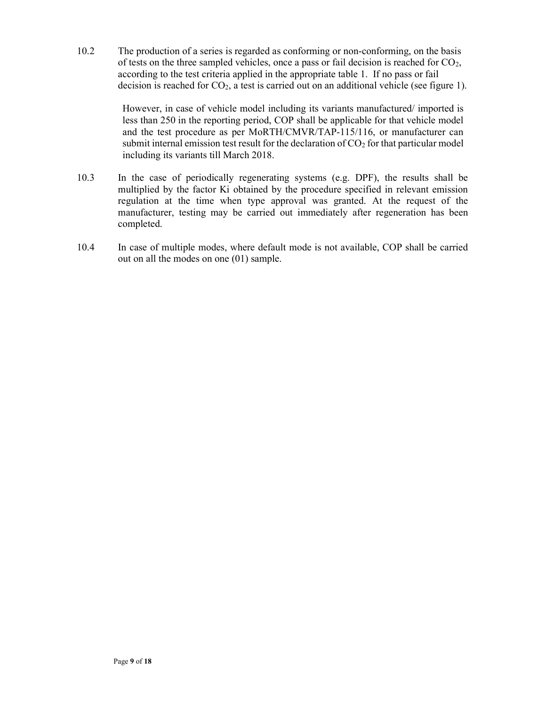10.2 The production of a series is regarded as conforming or non-conforming, on the basis of tests on the three sampled vehicles, once a pass or fail decision is reached for  $CO<sub>2</sub>$ , according to the test criteria applied in the appropriate table 1. If no pass or fail decision is reached for  $CO<sub>2</sub>$ , a test is carried out on an additional vehicle (see figure 1).

> However, in case of vehicle model including its variants manufactured/ imported is less than 250 in the reporting period, COP shall be applicable for that vehicle model and the test procedure as per MoRTH/CMVR/TAP-115/116, or manufacturer can submit internal emission test result for the declaration of  $CO<sub>2</sub>$  for that particular model including its variants till March 2018.

- 10.3 In the case of periodically regenerating systems (e.g. DPF), the results shall be multiplied by the factor Ki obtained by the procedure specified in relevant emission regulation at the time when type approval was granted. At the request of the manufacturer, testing may be carried out immediately after regeneration has been completed.
- 10.4 In case of multiple modes, where default mode is not available, COP shall be carried out on all the modes on one (01) sample.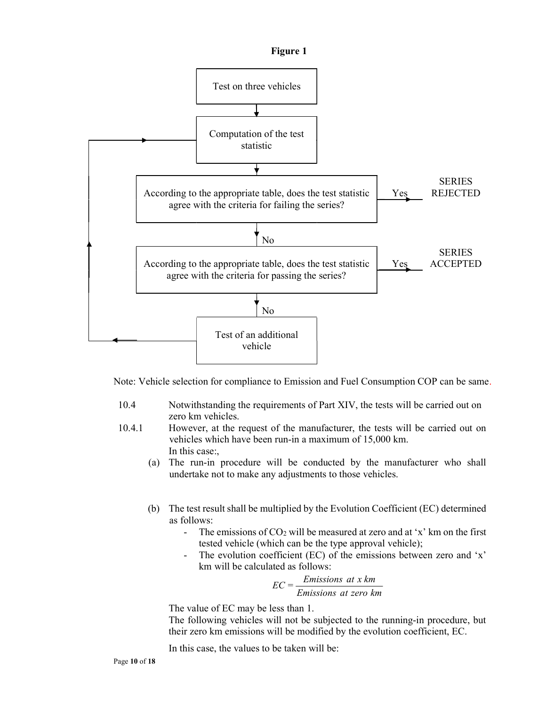



Note: Vehicle selection for compliance to Emission and Fuel Consumption COP can be same.

- 10.4 Notwithstanding the requirements of Part XIV, the tests will be carried out on zero km vehicles.
- 10.4.1 However, at the request of the manufacturer, the tests will be carried out on vehicles which have been run-in a maximum of 15,000 km. In this case:,
	- (a) The run-in procedure will be conducted by the manufacturer who shall undertake not to make any adjustments to those vehicles.
	- (b) The test result shall be multiplied by the Evolution Coefficient (EC) determined as follows:
		- The emissions of  $CO<sub>2</sub>$  will be measured at zero and at 'x' km on the first tested vehicle (which can be the type approval vehicle);
		- The evolution coefficient (EC) of the emissions between zero and 'x' km will be calculated as follows:

$$
EC = \frac{Emissions \ at \ x \ km}{Emissions \ at \ zero \ km}
$$

The value of EC may be less than 1.

The following vehicles will not be subjected to the running-in procedure, but their zero km emissions will be modified by the evolution coefficient, EC.

In this case, the values to be taken will be: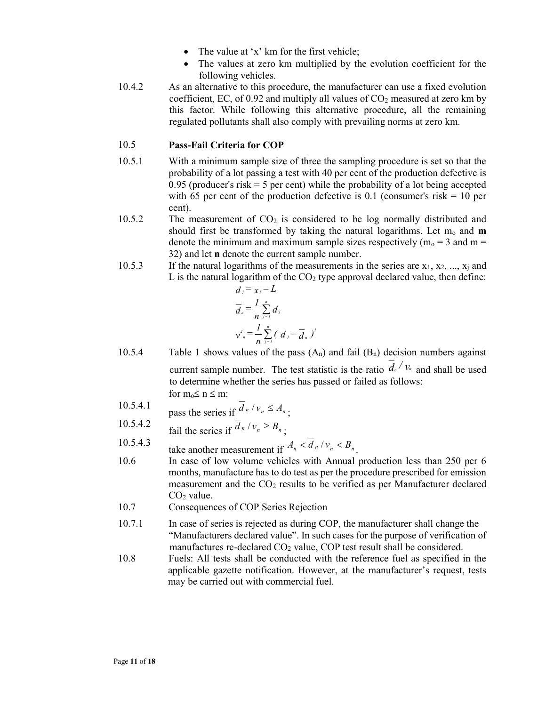- The value at 'x' km for the first vehicle;
- The values at zero km multiplied by the evolution coefficient for the following vehicles.
- 10.4.2 As an alternative to this procedure, the manufacturer can use a fixed evolution coefficient, EC, of 0.92 and multiply all values of  $CO<sub>2</sub>$  measured at zero km by this factor. While following this alternative procedure, all the remaining regulated pollutants shall also comply with prevailing norms at zero km.

## 10.5 Pass-Fail Criteria for COP

- 10.5.1 With a minimum sample size of three the sampling procedure is set so that the probability of a lot passing a test with 40 per cent of the production defective is 0.95 (producer's risk  $=$  5 per cent) while the probability of a lot being accepted with 65 per cent of the production defective is 0.1 (consumer's risk  $= 10$  per cent).
- 10.5.2 The measurement of CO<sub>2</sub> is considered to be log normally distributed and should first be transformed by taking the natural logarithms. Let  $m_0$  and  $m$ denote the minimum and maximum sample sizes respectively ( $m_0 = 3$  and  $m =$ 32) and let n denote the current sample number.
- 10.5.3 If the natural logarithms of the measurements in the series are  $x_1, x_2, ..., x_i$  and L is the natural logarithm of the  $CO<sub>2</sub>$  type approval declared value, then define:

$$
d_j = x_j - L
$$
  
\n
$$
\overline{d}_n = \frac{1}{n} \sum_{j=1}^n d_j
$$
  
\n
$$
v_{n}^{2} = \frac{1}{n} \sum_{j=1}^n (d_j - \overline{d}_n)^2
$$

- 10.5.4 Table 1 shows values of the pass  $(A_n)$  and fail  $(B_n)$  decision numbers against current sample number. The test statistic is the ratio  $\overline{d}_{n}/v_{n}$  and shall be used to determine whether the series has passed or failed as follows: for  $m_0 \le n \le m$ :
- 10.5.4.1 pass the series if  $\overline{d}_n / v_n \leq A_n$ ;
- 10.5.4.2 fail the series if  $\overline{d}_n / v_n \ge B_n$ ;
- 10.5.4.3 take another measurement if  $A_n < \overline{d}_n / v_n < B_n$ .
- 10.6 In case of low volume vehicles with Annual production less than 250 per 6 months, manufacture has to do test as per the procedure prescribed for emission measurement and the CO<sub>2</sub> results to be verified as per Manufacturer declared CO2 value.
- 10.7 Consequences of COP Series Rejection
- 10.7.1 In case of series is rejected as during COP, the manufacturer shall change the "Manufacturers declared value". In such cases for the purpose of verification of manufactures re-declared  $CO<sub>2</sub>$  value, COP test result shall be considered.
- 10.8 Fuels: All tests shall be conducted with the reference fuel as specified in the applicable gazette notification. However, at the manufacturer's request, tests may be carried out with commercial fuel.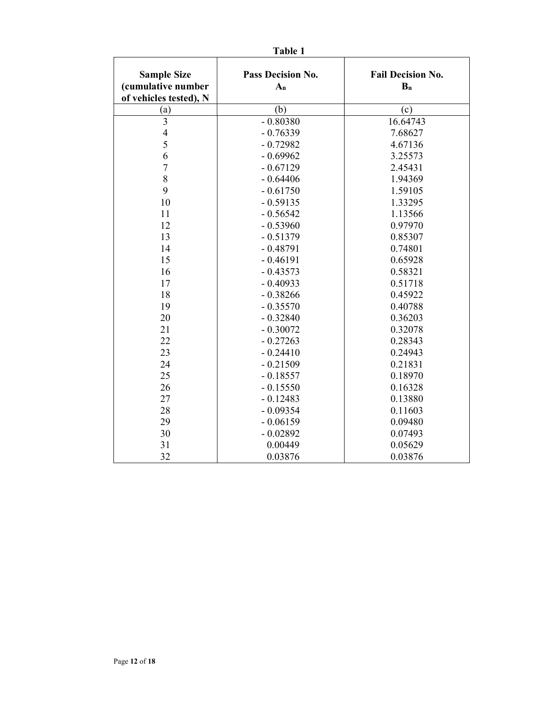| <b>Sample Size</b><br>(cumulative number<br>of vehicles tested), N | Pass Decision No.<br>$A_n$ | <b>Fail Decision No.</b><br>$B_n$ |
|--------------------------------------------------------------------|----------------------------|-----------------------------------|
| (a)                                                                | (b)                        | (c)                               |
| 3                                                                  | $-0.80380$                 | 16.64743                          |
| $\overline{4}$                                                     | $-0.76339$                 | 7.68627                           |
| 5                                                                  | $-0.72982$                 | 4.67136                           |
| 6                                                                  | $-0.69962$                 | 3.25573                           |
| $\overline{7}$                                                     | $-0.67129$                 | 2.45431                           |
| 8                                                                  | $-0.64406$                 | 1.94369                           |
| 9                                                                  | $-0.61750$                 | 1.59105                           |
| 10                                                                 | $-0.59135$                 | 1.33295                           |
| 11                                                                 | $-0.56542$                 | 1.13566                           |
| 12                                                                 | $-0.53960$                 | 0.97970                           |
| 13                                                                 | $-0.51379$                 | 0.85307                           |
| 14                                                                 | $-0.48791$                 | 0.74801                           |
| 15                                                                 | $-0.46191$                 | 0.65928                           |
| 16                                                                 | $-0.43573$                 | 0.58321                           |
| 17                                                                 | $-0.40933$                 | 0.51718                           |
| 18                                                                 | $-0.38266$                 | 0.45922                           |
| 19                                                                 | $-0.35570$                 | 0.40788                           |
| 20                                                                 | $-0.32840$                 | 0.36203                           |
| 21                                                                 | $-0.30072$                 | 0.32078                           |
| 22                                                                 | $-0.27263$                 | 0.28343                           |
| 23                                                                 | $-0.24410$                 | 0.24943                           |
| 24                                                                 | $-0.21509$                 | 0.21831                           |
| 25                                                                 | $-0.18557$                 | 0.18970                           |
| 26                                                                 | $-0.15550$                 | 0.16328                           |
| 27                                                                 | $-0.12483$                 | 0.13880                           |
| 28                                                                 | $-0.09354$                 | 0.11603                           |
| 29                                                                 | $-0.06159$                 | 0.09480                           |
| 30                                                                 | $-0.02892$                 | 0.07493                           |
| 31                                                                 | 0.00449                    | 0.05629                           |
| 32                                                                 | 0.03876                    | 0.03876                           |

Table 1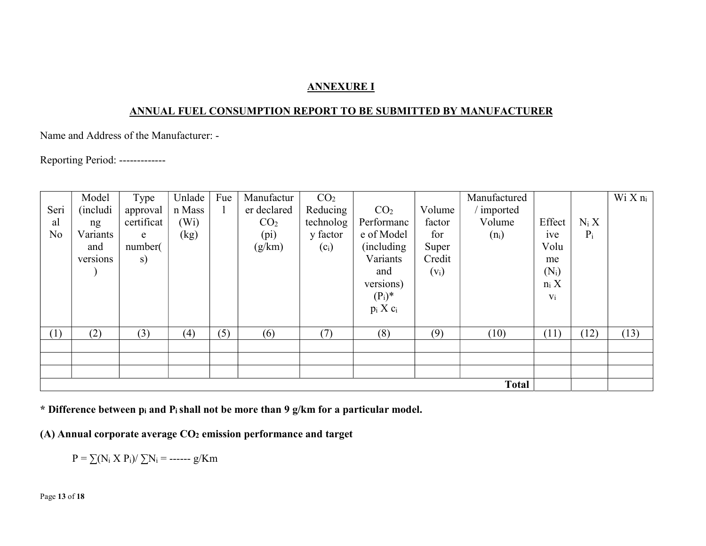## ANNEXURE I

## ANNUAL FUEL CONSUMPTION REPORT TO BE SUBMITTED BY MANUFACTURER

Name and Address of the Manufacturer: -

Reporting Period: -------------

|                | Model            | Type       | Unlade            | Fue | Manufactur        | CO <sub>2</sub> |                 |         | Manufactured |         |         | $W_1 X n_i$ |
|----------------|------------------|------------|-------------------|-----|-------------------|-----------------|-----------------|---------|--------------|---------|---------|-------------|
| Seri           | <i>(includi)</i> | approval   | n Mass            |     | er declared       | Reducing        | CO <sub>2</sub> | Volume  | ' imported   |         |         |             |
| al             | ng               | certificat | (W <sub>i</sub> ) |     | CO <sub>2</sub>   | technolog       | Performanc      | factor  | Volume       | Effect  | $N_i X$ |             |
| N <sub>o</sub> | Variants         | e          | (kg)              |     | (p <sub>i</sub> ) | y factor        | e of Model      | for     | $(n_i)$      | ive     | $P_i$   |             |
|                | and              | number(    |                   |     | (g/km)            | $(c_i)$         | (including)     | Super   |              | Volu    |         |             |
|                | versions         | s)         |                   |     |                   |                 | Variants        | Credit  |              | me      |         |             |
|                |                  |            |                   |     |                   |                 | and             | $(V_i)$ |              | $(N_i)$ |         |             |
|                |                  |            |                   |     |                   |                 | versions)       |         |              | $n_i X$ |         |             |
|                |                  |            |                   |     |                   |                 | $(P_i)^*$       |         |              | $V_i$   |         |             |
|                |                  |            |                   |     |                   |                 | $p_i X c_i$     |         |              |         |         |             |
|                |                  |            |                   |     |                   |                 |                 |         |              |         |         |             |
| (1)            | (2)              | (3)        | (4)               | (5) | (6)               | (7)             | (8)             | (9)     | (10)         | (11)    | (12)    | (13)        |
|                |                  |            |                   |     |                   |                 |                 |         |              |         |         |             |
|                |                  |            |                   |     |                   |                 |                 |         |              |         |         |             |
|                |                  |            |                   |     |                   |                 |                 |         |              |         |         |             |
|                |                  |            |                   |     |                   |                 |                 |         | <b>Total</b> |         |         |             |

\* Difference between pi and Pi shall not be more than 9 g/km for a particular model.

(A) Annual corporate average CO2 emission performance and target

 $P = \sum (N_i \times P_i) / \sum N_i =$  ------ g/Km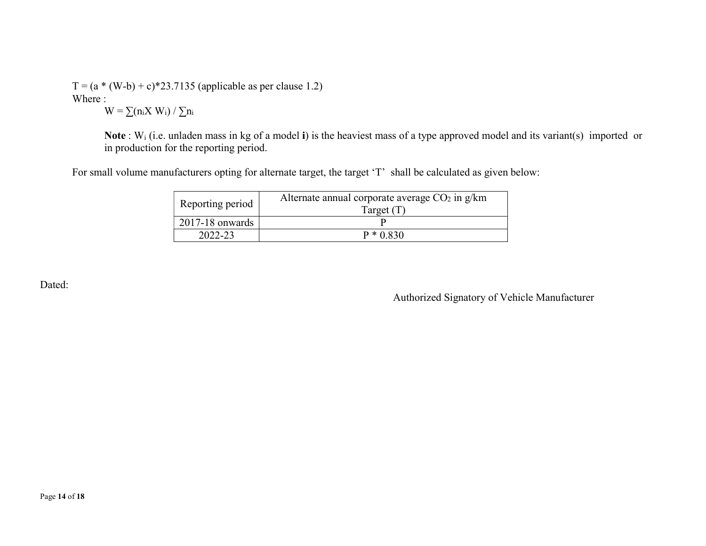$T = (a * (W-b) + c) * 23.7135$  (applicable as per clause 1.2) Where :

 $W = \sum (n_i X W_i) / \sum n_i$ 

Note : Wi (i.e. unladen mass in kg of a model i) is the heaviest mass of a type approved model and its variant(s) imported or in production for the reporting period.

For small volume manufacturers opting for alternate target, the target 'T' shall be calculated as given below:

| Reporting period    | Alternate annual corporate average $CO2$ in g/km<br>Target $(T)$ |  |
|---------------------|------------------------------------------------------------------|--|
| $2017 - 18$ onwards |                                                                  |  |
| 2022-23             | $P * 0.830$                                                      |  |

Dated:

Authorized Signatory of Vehicle Manufacturer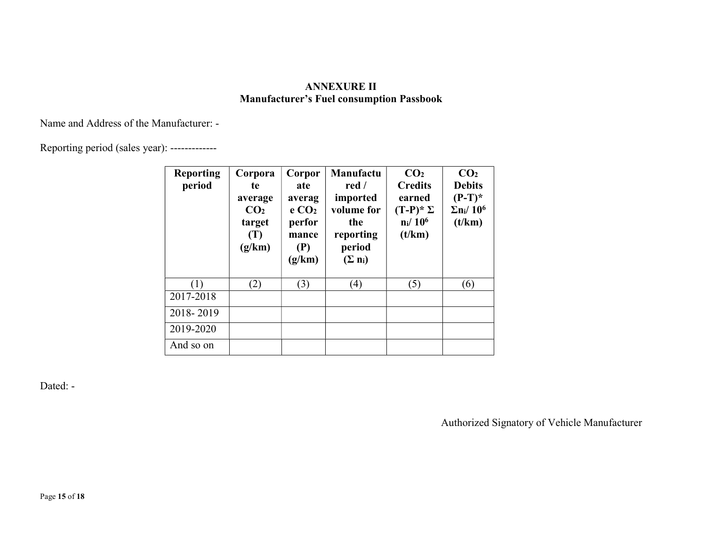## ANNEXURE II Manufacturer's Fuel consumption Passbook

Name and Address of the Manufacturer: -

Reporting period (sales year): -------------

| <b>Reporting</b><br>period | Corpora<br>te<br>average<br>CO <sub>2</sub><br>target<br>(T)<br>(g/km) | Corpor<br>ate<br>averag<br>e CO <sub>2</sub><br>perfor<br>mance<br>(P)<br>(g/km) | Manufactu<br>red $\sqrt{ }$<br>imported<br>volume for<br>the<br>reporting<br>period<br>$(\Sigma n_i)$ | CO <sub>2</sub><br><b>Credits</b><br>earned<br>$(T-P)^* \Sigma$<br>$n_i/10^6$<br>(t/km) | CO <sub>2</sub><br><b>Debits</b><br>$(P-T)^*$<br>$\Sigma$ n <sub>i</sub> /10 <sup>6</sup><br>(t/km) |
|----------------------------|------------------------------------------------------------------------|----------------------------------------------------------------------------------|-------------------------------------------------------------------------------------------------------|-----------------------------------------------------------------------------------------|-----------------------------------------------------------------------------------------------------|
| $\left(1\right)$           | (2)                                                                    | (3)                                                                              | $\left( 4\right)$                                                                                     | (5)                                                                                     | (6)                                                                                                 |
| 2017-2018                  |                                                                        |                                                                                  |                                                                                                       |                                                                                         |                                                                                                     |
| 2018-2019                  |                                                                        |                                                                                  |                                                                                                       |                                                                                         |                                                                                                     |
| 2019-2020                  |                                                                        |                                                                                  |                                                                                                       |                                                                                         |                                                                                                     |
| And so on                  |                                                                        |                                                                                  |                                                                                                       |                                                                                         |                                                                                                     |

Dated: -

Authorized Signatory of Vehicle Manufacturer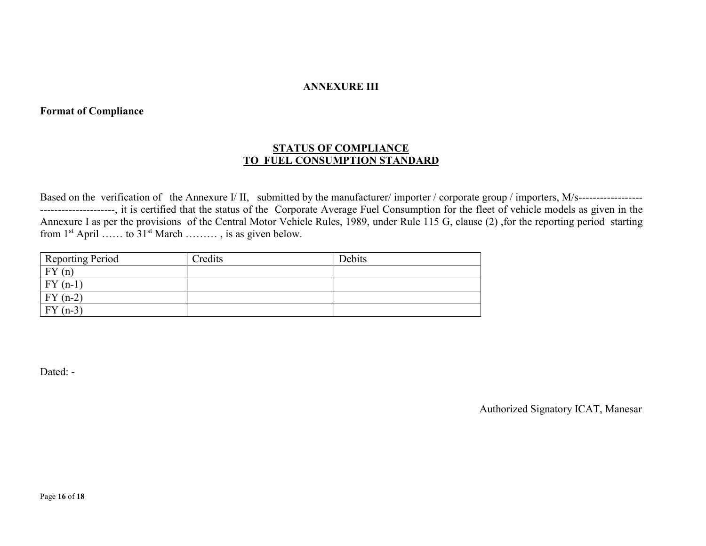#### ANNEXURE III

## Format of Compliance

## STATUS OF COMPLIANCE TO FUEL CONSUMPTION STANDARD

Based on the verification of the Annexure I/ II, submitted by the manufacturer/importer / corporate group / importers, M/s---------------------------------------, it is certified that the status of the Corporate Average Fuel Consumption for the fleet of vehicle models as given in the Annexure I as per the provisions of the Central Motor Vehicle Rules, 1989, under Rule 115 G, clause (2) ,for the reporting period starting from  $1^{st}$  April …… to  $31^{st}$  March ………, is as given below.

| <b>Reporting Period</b>   | Credits | Debits |
|---------------------------|---------|--------|
| $\cdot$ FV $^{-}$<br>(n)  |         |        |
| $FY$ (<br>$(n-1)$         |         |        |
| <b>FY</b><br>$(n-2)$      |         |        |
| FY(<br>$\bigcap$<br>$n-3$ |         |        |

Dated: -

Authorized Signatory ICAT, Manesar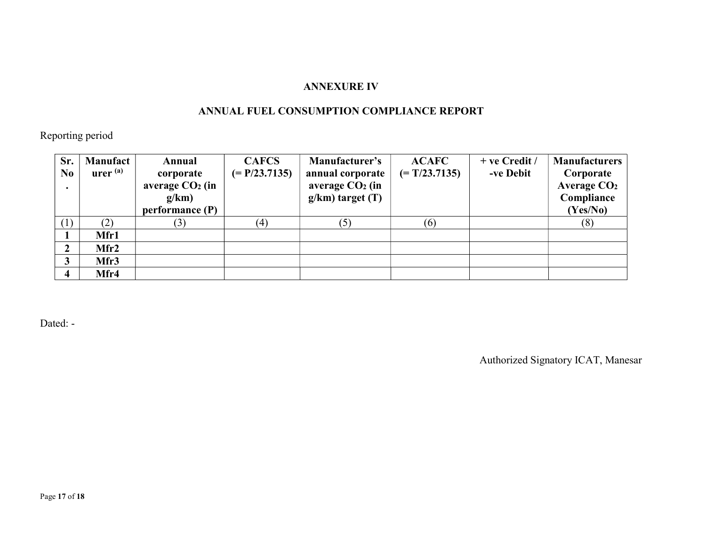## ANNEXURE IV

## ANNUAL FUEL CONSUMPTION COMPLIANCE REPORT

Reporting period

| Sr.            | <b>Manufact</b>                    | Annual            | <b>CAFCS</b>    | Manufacturer's       | <b>ACAFC</b>    | $+$ ve Credit / | <b>Manufacturers</b> |
|----------------|------------------------------------|-------------------|-----------------|----------------------|-----------------|-----------------|----------------------|
| N <sub>0</sub> | $\mathbf{u}$ rer $^{(\mathbf{a})}$ | corporate         | $(= P/23.7135)$ | annual corporate     | $(= T/23.7135)$ | -ve Debit       | Corporate            |
|                |                                    | average $CO2$ (in |                 | average $CO2$ (in    |                 |                 | Average $CO2$        |
|                |                                    | g/km              |                 | $g/km)$ target $(T)$ |                 |                 | Compliance           |
|                |                                    | performance (P)   |                 |                      |                 |                 | (Yes/No)             |
| (1)            | (2)                                | (3)               | (4)             | (5)                  | (6)             |                 | (8)                  |
|                | Mfr1                               |                   |                 |                      |                 |                 |                      |
| 2              | Mfr2                               |                   |                 |                      |                 |                 |                      |
|                | Mfr3                               |                   |                 |                      |                 |                 |                      |
|                | Mfr4                               |                   |                 |                      |                 |                 |                      |

Dated: -

Authorized Signatory ICAT, Manesar